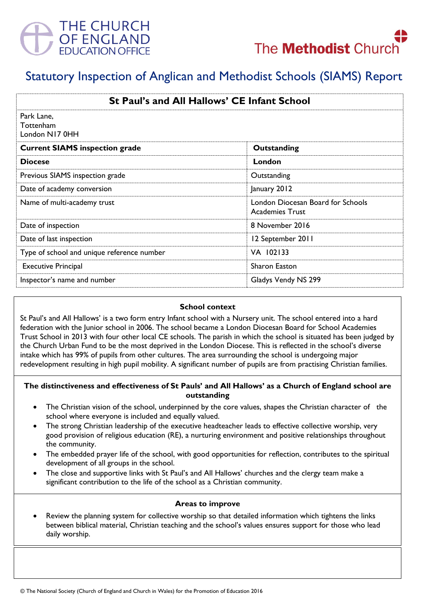



# Statutory Inspection of Anglican and Methodist Schools (SIAMS) Report

| St Paul's and All Hallows' CE Infant School |                                                             |
|---------------------------------------------|-------------------------------------------------------------|
| Park Lane,<br>Tottenham<br>London N17 0HH   |                                                             |
| <b>Current SIAMS inspection grade</b>       | Outstanding                                                 |
| <b>Diocese</b>                              | London                                                      |
| Previous SIAMS inspection grade             | Outstanding                                                 |
| Date of academy conversion                  | January 2012                                                |
| Name of multi-academy trust                 | London Diocesan Board for Schools<br><b>Academies Trust</b> |
| Date of inspection                          | 8 November 2016                                             |
| Date of last inspection                     | 12 September 2011                                           |
| Type of school and unique reference number  | VA 102133                                                   |
| <b>Executive Principal</b>                  | Sharon Easton                                               |
| Inspector's name and number                 | Gladys Vendy NS 299                                         |

#### **School context**

St Paul's and All Hallows' is a two form entry Infant school with a Nursery unit. The school entered into a hard federation with the Junior school in 2006. The school became a London Diocesan Board for School Academies Trust School in 2013 with four other local CE schools. The parish in which the school is situated has been judged by the Church Urban Fund to be the most deprived in the London Diocese. This is reflected in the school's diverse intake which has 99% of pupils from other cultures. The area surrounding the school is undergoing major redevelopment resulting in high pupil mobility. A significant number of pupils are from practising Christian families.

#### **The distinctiveness and effectiveness of St Pauls' and All Hallows' as a Church of England school are outstanding**

- The Christian vision of the school, underpinned by the core values, shapes the Christian character of the school where everyone is included and equally valued.
- The strong Christian leadership of the executive headteacher leads to effective collective worship, very good provision of religious education (RE), a nurturing environment and positive relationships throughout the community.
- The embedded prayer life of the school, with good opportunities for reflection, contributes to the spiritual development of all groups in the school.
- The close and supportive links with St Paul's and All Hallows' churches and the clergy team make a significant contribution to the life of the school as a Christian community.

#### **Areas to improve**

 Review the planning system for collective worship so that detailed information which tightens the links between biblical material, Christian teaching and the school's values ensures support for those who lead daily worship.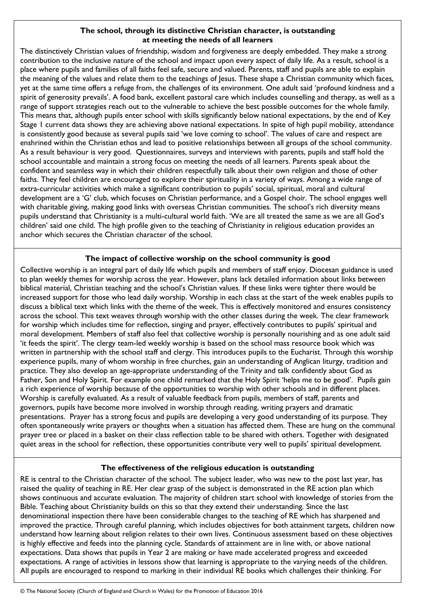## **The school, through its distinctive Christian character, is outstanding at meeting the needs of all learners**

The distinctively Christian values of friendship, wisdom and forgiveness are deeply embedded. They make a strong contribution to the inclusive nature of the school and impact upon every aspect of daily life. As a result, school is a place where pupils and families of all faiths feel safe, secure and valued. Parents, staff and pupils are able to explain the meaning of the values and relate them to the teachings of Jesus. These shape a Christian community which faces, yet at the same time offers a refuge from, the challenges of its environment. One adult said 'profound kindness and a spirit of generosity prevails'. A food bank, excellent pastoral care which includes counselling and therapy, as well as a range of support strategies reach out to the vulnerable to achieve the best possible outcomes for the whole family. This means that, although pupils enter school with skills significantly below national expectations, by the end of Key Stage 1 current data shows they are achieving above national expectations. In spite of high pupil mobility, attendance is consistently good because as several pupils said 'we love coming to school'. The values of care and respect are enshrined within the Christian ethos and lead to positive relationships between all groups of the school community. As a result behaviour is very good. Questionnaires, surveys and interviews with parents, pupils and staff hold the school accountable and maintain a strong focus on meeting the needs of all learners. Parents speak about the confident and seamless way in which their children respectfully talk about their own religion and those of other faiths. They feel children are encouraged to explore their spirituality in a variety of ways. Among a wide range of extra-curricular activities which make a significant contribution to pupils' social, spiritual, moral and cultural development are a 'G' club, which focuses on Christian performance, and a Gospel choir. The school engages well with charitable giving, making good links with overseas Christian communities. The school's rich diversity means pupils understand that Christianity is a multi-cultural world faith. 'We are all treated the same as we are all God's children' said one child. The high profile given to the teaching of Christianity in religious education provides an anchor which secures the Christian character of the school.

## **The impact of collective worship on the school community is good**

Collective worship is an integral part of daily life which pupils and members of staff enjoy. Diocesan guidance is used to plan weekly themes for worship across the year. However, plans lack detailed information about links between biblical material, Christian teaching and the school's Christian values. If these links were tighter there would be increased support for those who lead daily worship. Worship in each class at the start of the week enables pupils to discuss a biblical text which links with the theme of the week. This is effectively monitored and ensures consistency across the school. This text weaves through worship with the other classes during the week. The clear framework for worship which includes time for reflection, singing and prayer, effectively contributes to pupils' spiritual and moral development. Members of staff also feel that collective worship is personally nourishing and as one adult said 'it feeds the spirit'. The clergy team-led weekly worship is based on the school mass resource book which was written in partnership with the school staff and clergy. This introduces pupils to the Eucharist. Through this worship experience pupils, many of whom worship in free churches, gain an understanding of Anglican liturgy, tradition and practice. They also develop an age-appropriate understanding of the Trinity and talk confidently about God as Father, Son and Holy Spirit. For example one child remarked that the Holy Spirit 'helps me to be good'. Pupils gain a rich experience of worship because of the opportunities to worship with other schools and in different places. Worship is carefully evaluated. As a result of valuable feedback from pupils, members of staff, parents and governors, pupils have become more involved in worship through reading, writing prayers and dramatic presentations. Prayer has a strong focus and pupils are developing a very good understanding of its purpose. They often spontaneously write prayers or thoughts when a situation has affected them. These are hung on the communal prayer tree or placed in a basket on their class reflection table to be shared with others. Together with designated quiet areas in the school for reflection, these opportunities contribute very well to pupils' spiritual development.

## **The effectiveness of the religious education is outstanding**

RE is central to the Christian character of the school. The subject leader, who was new to the post last year, has raised the quality of teaching in RE. Her clear grasp of the subject is demonstrated in the RE action plan which shows continuous and accurate evaluation. The majority of children start school with knowledge of stories from the Bible. Teaching about Christianity builds on this so that they extend their understanding. Since the last denominational inspection there have been considerable changes to the teaching of RE which has sharpened and improved the practice. Through careful planning, which includes objectives for both attainment targets, children now understand how learning about religion relates to their own lives. Continuous assessment based on these objectives is highly effective and feeds into the planning cycle. Standards of attainment are in line with, or above national expectations. Data shows that pupils in Year 2 are making or have made accelerated progress and exceeded expectations. A range of activities in lessons show that learning is appropriate to the varying needs of the children. All pupils are encouraged to respond to marking in their individual RE books which challenges their thinking. For